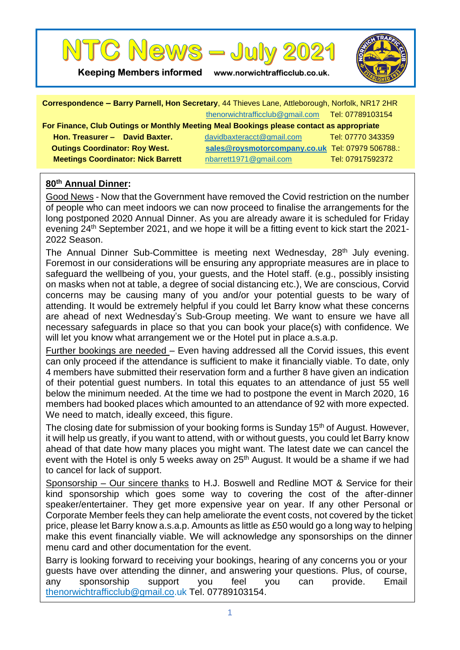

**Keeping Members informed www.norwichtrafficclub.co.uk.**



| Correspondence - Barry Parnell, Hon Secretary, 44 Thieves Lane, Attleborough, Norfolk, NR17 2HR |                                                  |                   |
|-------------------------------------------------------------------------------------------------|--------------------------------------------------|-------------------|
|                                                                                                 | thenorwichtrafficclub@gmail.com Tel: 07789103154 |                   |
| For Finance, Club Outings or Monthly Meeting Meal Bookings please contact as appropriate        |                                                  |                   |
| Hon. Treasurer - David Baxter.                                                                  | davidbaxteracct@gmail.com                        | Tel: 07770 343359 |
| <b>Outings Coordinator: Roy West.</b>                                                           | sales@roysmotorcompany.co.uk Tel: 07979 506788.: |                   |
| <b>Meetings Coordinator: Nick Barrett</b>                                                       | nbarrett1971@gmail.com                           | Tel: 07917592372  |
|                                                                                                 |                                                  |                   |

## **80th Annual Dinner:**

Good News - Now that the Government have removed the Covid restriction on the number of people who can meet indoors we can now proceed to finalise the arrangements for the long postponed 2020 Annual Dinner. As you are already aware it is scheduled for Friday evening 24<sup>th</sup> September 2021, and we hope it will be a fitting event to kick start the 2021-2022 Season.

The Annual Dinner Sub-Committee is meeting next Wednesday, 28<sup>th</sup> July evening. Foremost in our considerations will be ensuring any appropriate measures are in place to safeguard the wellbeing of you, your guests, and the Hotel staff. (e.g., possibly insisting on masks when not at table, a degree of social distancing etc.), We are conscious, Corvid concerns may be causing many of you and/or your potential guests to be wary of attending. It would be extremely helpful if you could let Barry know what these concerns are ahead of next Wednesday's Sub-Group meeting. We want to ensure we have all necessary safeguards in place so that you can book your place(s) with confidence. We will let you know what arrangement we or the Hotel put in place a.s.a.p.

Further bookings are needed – Even having addressed all the Corvid issues, this event can only proceed if the attendance is sufficient to make it financially viable. To date, only 4 members have submitted their reservation form and a further 8 have given an indication of their potential guest numbers. In total this equates to an attendance of just 55 well below the minimum needed. At the time we had to postpone the event in March 2020, 16 members had booked places which amounted to an attendance of 92 with more expected. We need to match, ideally exceed, this figure.

The closing date for submission of your booking forms is Sunday 15<sup>th</sup> of August. However, it will help us greatly, if you want to attend, with or without guests, you could let Barry know ahead of that date how many places you might want. The latest date we can cancel the event with the Hotel is only 5 weeks away on 25<sup>th</sup> August. It would be a shame if we had to cancel for lack of support.

Sponsorship – Our sincere thanks to H.J. Boswell and Redline MOT & Service for their kind sponsorship which goes some way to covering the cost of the after-dinner speaker/entertainer. They get more expensive year on year. If any other Personal or Corporate Member feels they can help ameliorate the event costs, not covered by the ticket price, please let Barry know a.s.a.p. Amounts as little as £50 would go a long way to helping make this event financially viable. We will acknowledge any sponsorships on the dinner menu card and other documentation for the event.

Barry is looking forward to receiving your bookings, hearing of any concerns you or your guests have over attending the dinner, and answering your questions. Plus, of course, any sponsorship support you feel you can provide. Email [thenorwichtrafficclub@gmail.co.](mailto:thenorwichtrafficclub@gmail.com)uk Tel. 07789103154.